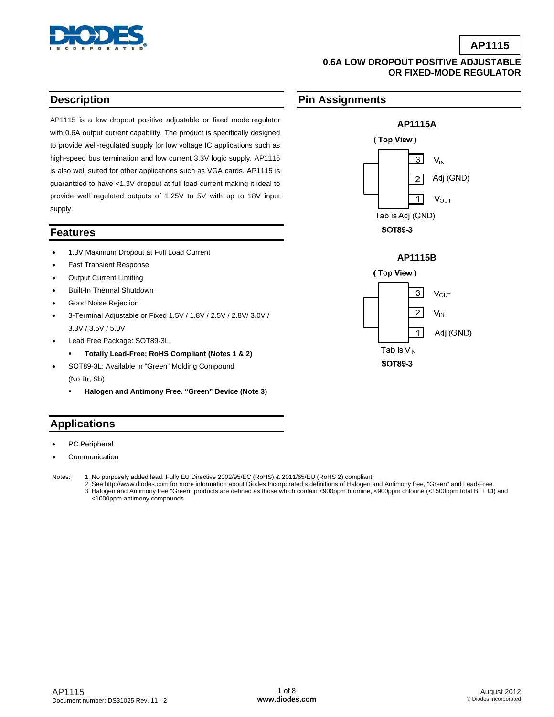

### **0.6A LOW DROPOUT POSITIVE ADJUSTABLE OR FIXED-MODE REGULATOR**

**Pin Assignments** 

### **Description**

AP1115 is a low dropout positive adjustable or fixed mode regulator with 0.6A output current capability. The product is specifically designed to provide well-regulated supply for low voltage IC applications such as high-speed bus termination and low current 3.3V logic supply. AP1115 is also well suited for other applications such as VGA cards. AP1115 is guaranteed to have <1.3V dropout at full load current making it ideal to provide well regulated outputs of 1.25V to 5V with up to 18V input supply.

### **Features**

- 1.3V Maximum Dropout at Full Load Current
- **Fast Transient Response**
- **Output Current Limiting**
- Built-In Thermal Shutdown
- Good Noise Rejection
- 3-Terminal Adjustable or Fixed 1.5V / 1.8V / 2.5V / 2.8V/ 3.0V / 3.3V / 3.5V / 5.0V
- Lead Free Package: SOT89-3L
	- **Totally Lead-Free; RoHS Compliant (Notes 1 & 2)**
- SOT89-3L: Available in "Green" Molding Compound (No Br, Sb)
	- **Halogen and Antimony Free. "Green" Device (Note 3)**

## **Applications**

- PC Peripheral
- **Communication**
- Notes: 1. No purposely added lead. Fully EU Directive 2002/95/EC (RoHS) & 2011/65/EU (RoHS 2) compliant.
	- 2. See [http://www.diodes.com fo](http://www.diodes.com)r more information about Diodes Incorporated's definitions of Halogen and Antimony free, "Green" and Lead-Free. 3. Halogen and Antimony free "Green" products are defined as those which contain <900ppm bromine, <900ppm chlorine (<1500ppm total Br + Cl) and <1000ppm antimony compounds.





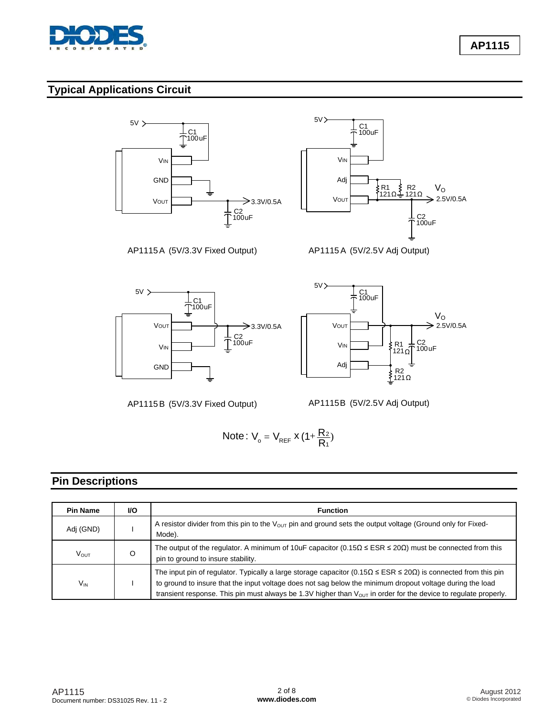

**AP1115**

# **Typical Applications Circuit**



AP1115B (5V/3.3V Fixed Output)

AP1115B (5V/2.5V Adj Output)

Note: 
$$
V_o = V_{REF} x (1 + \frac{R_2}{R_1})
$$

### **Pin Descriptions**

| <b>Pin Name</b> | VO.                                                                                                                                                                     | <b>Function</b>                                                                                                                                                                                                                                                                                                                                                                |
|-----------------|-------------------------------------------------------------------------------------------------------------------------------------------------------------------------|--------------------------------------------------------------------------------------------------------------------------------------------------------------------------------------------------------------------------------------------------------------------------------------------------------------------------------------------------------------------------------|
| Adj (GND)       | A resistor divider from this pin to the V <sub>OUT</sub> pin and ground sets the output voltage (Ground only for Fixed-<br>Mode).                                       |                                                                                                                                                                                                                                                                                                                                                                                |
| VOUT            | The output of the regulator. A minimum of 10uF capacitor ( $0.15\Omega \leq ESR \leq 20\Omega$ ) must be connected from this<br>O<br>pin to ground to insure stability. |                                                                                                                                                                                                                                                                                                                                                                                |
| $V_{IN}$        |                                                                                                                                                                         | The input pin of regulator. Typically a large storage capacitor ( $0.15\Omega \leq ESR \leq 20\Omega$ ) is connected from this pin<br>to ground to insure that the input voltage does not sag below the minimum dropout voltage during the load<br>transient response. This pin must always be 1.3V higher than $V_{\text{OUT}}$ in order for the device to regulate properly. |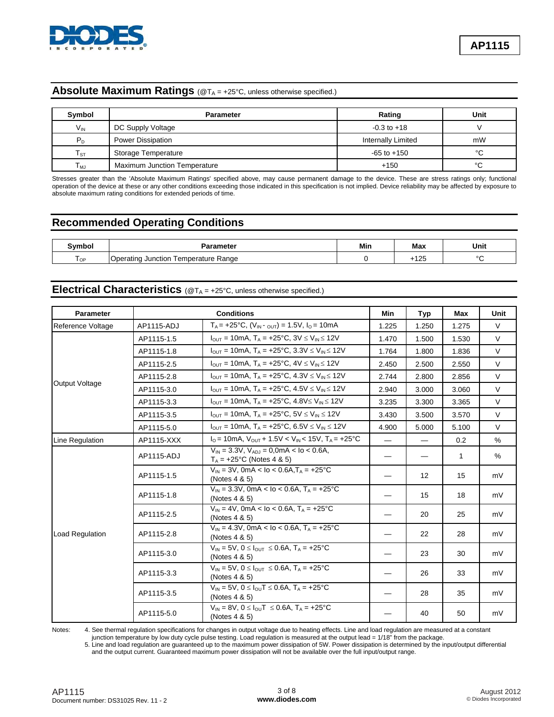

### **Absolute Maximum Ratings** (@T<sub>A</sub> = +25°C, unless otherwise specified.)

| Symbol            | <b>Parameter</b>                    | Rating                    | Unit |
|-------------------|-------------------------------------|---------------------------|------|
| $V_{IN}$          | DC Supply Voltage                   | $-0.3$ to $+18$           |      |
| P <sub>D</sub>    | Power Dissipation                   | <b>Internally Limited</b> | mW   |
| $T_{\textrm{ST}}$ | Storage Temperature                 | $-65$ to $+150$           | °C   |
| $T_{MJ}$          | <b>Maximum Junction Temperature</b> | $+150$                    | °C   |

Stresses greater than the 'Absolute Maximum Ratings' specified above, may cause permanent damage to the device. These are stress ratings only; functional operation of the device at these or any other conditions exceeding those indicated in this specification is not implied. Device reliability may be affected by exposure to absolute maximum rating conditions for extended periods of time.

### **Recommended Operating Conditions**

| <b>Symhol</b> | arameter                                                   | Min | Max           | Unit   |
|---------------|------------------------------------------------------------|-----|---------------|--------|
| l OF          | Range<br><b>Femperature</b><br>Junction<br>Operatin $\sim$ |     | $\sim$<br>כ∠ו | $\sim$ |

# Electrical Characteristics ( $@T_A = +25°C$ , unless otherwise specified.)

| Parameter         | <b>Conditions</b> |                                                                                                                     | Min   | Typ               | Max   | Unit   |
|-------------------|-------------------|---------------------------------------------------------------------------------------------------------------------|-------|-------------------|-------|--------|
| Reference Voltage | AP1115-ADJ        | $T_A = +25$ °C, $(V_{IN} - Q_{UT}) = 1.5V$ , $I_Q = 10mA$                                                           | 1.225 | 1.250             | 1.275 | $\vee$ |
|                   | AP1115-1.5        | $I_{\text{OUT}} = 10 \text{mA}$ , $T_A = +25^{\circ} \text{C}$ , $3V \le V_{\text{IN}} \le 12V$                     | 1.470 | 1.500             | 1.530 | $\vee$ |
|                   | AP1115-1.8        | $I_{OUT}$ = 10mA, $T_A$ = +25°C, 3.3V $\leq$ V <sub>IN</sub> $\leq$ 12V                                             | 1.764 | 1.800             | 1.836 | $\vee$ |
|                   | AP1115-2.5        | $I_{\text{OUT}} = 10 \text{mA}$ , $T_A = +25^{\circ} \text{C}$ , $4V \le V_{\text{IN}} \le 12V$                     | 2.450 | 2.500             | 2.550 | $\vee$ |
|                   | AP1115-2.8        | $I_{\text{OUT}} = 10 \text{mA}$ , $T_A = +25^{\circ} \text{C}$ , $4.3 \text{V} \leq V_{\text{IN}} \leq 12 \text{V}$ | 2.744 | 2.800             | 2.856 | $\vee$ |
| Output Voltage    | AP1115-3.0        | $I_{\text{OUT}} = 10 \text{mA}$ , $T_A = +25^{\circ} \text{C}$ , $4.5 \text{V} \leq V_{\text{IN}} \leq 12 \text{V}$ | 2.940 | 3.000             | 3.060 | $\vee$ |
|                   | AP1115-3.3        | $I_{\text{OUT}} = 10 \text{mA}$ , $T_A = +25^{\circ} \text{C}$ , $4.8 \text{V} \le V_{\text{IN}} \le 12 \text{V}$   | 3.235 | 3.300             | 3.365 | $\vee$ |
|                   | AP1115-3.5        | $I_{\text{OUT}} = 10 \text{mA}$ , $T_A = +25^{\circ} \text{C}$ , $5V \le V_{\text{IN}} \le 12V$                     | 3.430 | 3.500             | 3.570 | $\vee$ |
|                   | AP1115-5.0        | $I_{\text{OUT}} = 10 \text{mA}$ , $T_A = +25^{\circ} \text{C}$ , $6.5 \text{V} \leq V_{\text{IN}} \leq 12 \text{V}$ | 4.900 | 5.000             | 5.100 | $\vee$ |
| Line Regulation   | AP1115-XXX        | $I_0 = 10$ mA, $V_{OUT} + 1.5V < V_{IN} < 15V$ , $T_A = +25°C$                                                      |       |                   | 0.2   | $\%$   |
|                   | AP1115-ADJ        | $V_{\text{IN}}$ = 3.3V, $V_{\text{ADI}}$ = 0,0mA < lo < 0.6A,<br>$T_A = +25^{\circ}C$ (Notes 4 & 5)                 |       |                   | 1     | $\%$   |
|                   | AP1115-1.5        | $V_{IN}$ = 3V, 0mA < lo < 0.6A, $T_A$ = +25°C<br>(Notes 4 & 5)                                                      |       | $12 \overline{ }$ | 15    | mV     |
|                   | AP1115-1.8        | $V_{IN}$ = 3.3V, 0mA < lo < 0.6A, T <sub>A</sub> = +25°C<br>(Notes $4 & 5$ )                                        |       | 15                | 18    | mV     |
|                   | AP1115-2.5        | $V_{IN}$ = 4V, 0mA < lo < 0.6A, T <sub>A</sub> = +25°C<br>(Notes 4 & 5)                                             |       | 20                | 25    | mV     |
| Load Regulation   | AP1115-2.8        | $V_{IN} = 4.3V$ , 0mA < lo < 0.6A, T <sub>A</sub> = +25°C<br>(Notes $4 & 5$ )                                       |       | 22                | 28    | mV     |
|                   | AP1115-3.0        | $V_{IN} = 5V$ , $0 \leq I_{OUT} \leq 0.6A$ , $T_A = +25^{\circ}C$<br>(Notes 4 & 5)                                  |       | 23                | 30    | mV     |
|                   | AP1115-3.3        | $V_{IN} = 5V$ , $0 \leq I_{OIT} \leq 0.6A$ , $T_A = +25^{\circ}C$<br>(Notes 4 & 5)                                  |       | 26                | 33    | mV     |
|                   | AP1115-3.5        | $V_{IN} = 5V$ , $0 \leq I_{OU}T \leq 0.6A$ , $T_A = +25^{\circ}C$<br>(Notes $4 & 5$ )                               |       | 28                | 35    | mV     |
|                   | AP1115-5.0        | $V_{\text{IN}} = 8V$ , $0 \leq I_{\text{OU}}T \leq 0.6A$ , $T_A = +25^{\circ}C$<br>(Notes 4 & 5)                    |       | 40                | 50    | mV     |

Notes: 4. See thermal regulation specifications for changes in output voltage due to heating effects. Line and load regulation are measured at a constant

junction temperature by low duty cycle pulse testing. Load regulation is measured at the output lead =  $1/18<sup>n</sup>$  from the package.

 5. Line and load regulation are guaranteed up to the maximum power dissipation of 5W. Power dissipation is determined by the input/output differential and the output current. Guaranteed maximum power dissipation will not be available over the full input/output range.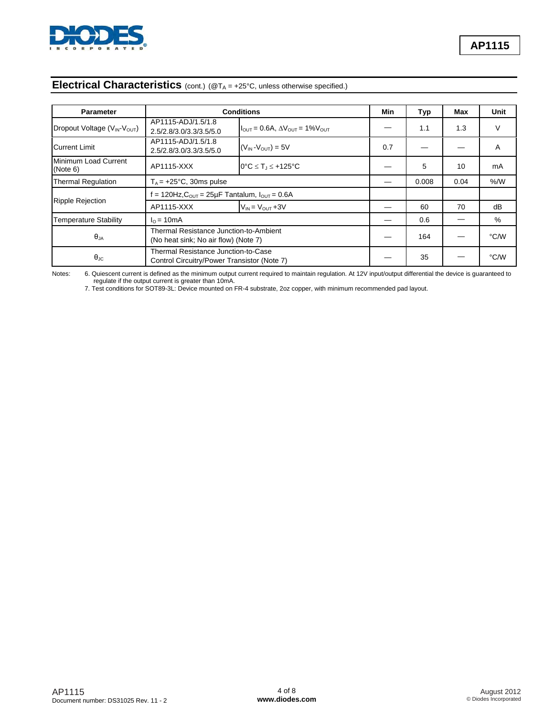

# **Electrical Characteristics** (cont.) (@TA = +25°C, unless otherwise specified.)

| <b>Parameter</b>                 | <b>Conditions</b>                                                                  |                                                                       | Min | Typ   | Max  | <b>Unit</b> |
|----------------------------------|------------------------------------------------------------------------------------|-----------------------------------------------------------------------|-----|-------|------|-------------|
| Dropout Voltage (VIN-VOUT)       | AP1115-ADJ/1.5/1.8<br>2.5/2.8/3.0/3.3/3.5/5.0                                      | $I_{\text{OUT}} = 0.6A$ , $\Delta V_{\text{OUT}} = 1\%V_{\text{OUT}}$ |     | 1.1   | 1.3  | V           |
| <b>Current Limit</b>             | AP1115-ADJ/1.5/1.8<br>2.5/2.8/3.0/3.3/3.5/5.0                                      | $(V_{IN} - V_{OUT}) = 5V$                                             | 0.7 |       |      | Α           |
| Minimum Load Current<br>(Note 6) | AP1115-XXX                                                                         | $0^{\circ}$ C $\leq$ T <sub>J</sub> $\leq$ +125°C                     |     | 5     | 10   | mA          |
| <b>Thermal Regulation</b>        | $T_A$ = +25°C, 30ms pulse                                                          |                                                                       |     | 0.008 | 0.04 | % /W        |
|                                  | = 120Hz, $C_{\text{OUT}}$ = 25µF Tantalum, $I_{\text{OUT}}$ = 0.6A                 |                                                                       |     |       |      |             |
| <b>Ripple Rejection</b>          | AP1115-XXX                                                                         | $V_{IN} = V_{OUT} + 3V$                                               |     | 60    | 70   | dB          |
| <b>Temperature Stability</b>     | $I0 = 10mA$                                                                        |                                                                       |     | 0.6   |      | %           |
| $\theta_{JA}$                    | Thermal Resistance Junction-to-Ambient<br>(No heat sink; No air flow) (Note 7)     |                                                                       |     | 164   |      | °C/W        |
| $\theta_{\text{JC}}$             | Thermal Resistance Junction-to-Case<br>Control Circuitry/Power Transistor (Note 7) |                                                                       |     | 35    |      | °C/W        |

Notes: 6. Quiescent current is defined as the minimum output current required to maintain regulation. At 12V input/output differential the device is guaranteed to regulate if the output current is greater than 10mA.

7. Test conditions for SOT89-3L: Device mounted on FR-4 substrate, 2oz copper, with minimum recommended pad layout.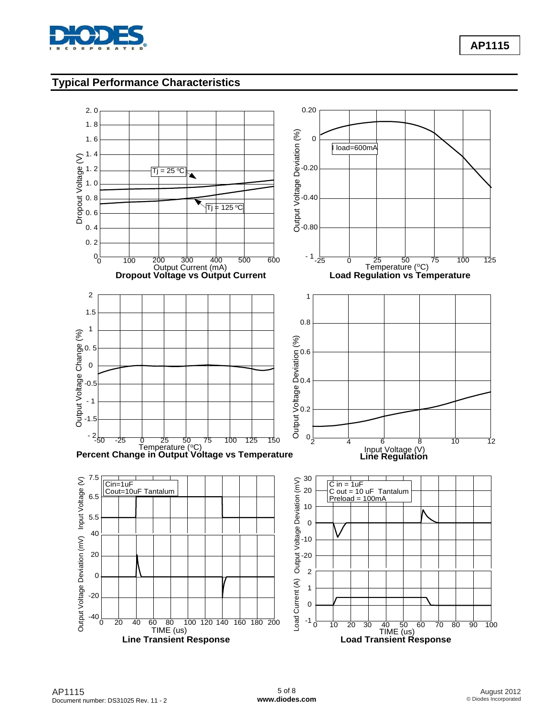

**AP1115**

## **Typical Performance Characteristics**

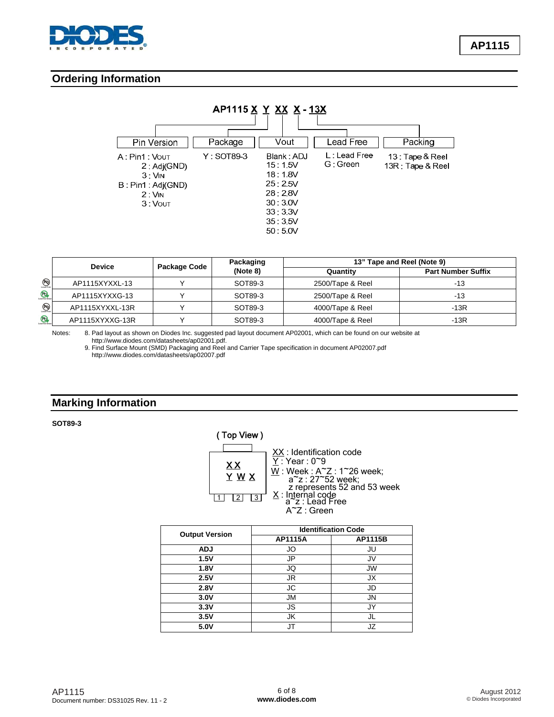

### **Ordering Information**

| AP1115 X Y XX X-13X                                                               |            |                                                                                                |                          |                                     |  |
|-----------------------------------------------------------------------------------|------------|------------------------------------------------------------------------------------------------|--------------------------|-------------------------------------|--|
| Pin Version                                                                       | Package    | Vout                                                                                           | Lead Free                | Packing                             |  |
| A Pin1 Vout<br>2:Adj(GND)<br>3:VM<br>B . Pin1 . Adj(GND)<br>$2:$ VIN<br>$3:V$ OUT | Y: SOT89-3 | Blank: ADJ<br>15:1.5V<br>18:18V<br>25:25V<br>28:28V<br>30:3.0V<br>33:33V<br>35:3.5V<br>50:5.0V | L: Lead Free<br>G: Green | 13 Tape & Reel<br>13R : Tape & Reel |  |

|                                | <b>Device</b>   | Package Code | Packaging<br>(Note 8) | 13" Tape and Reel (Note 9) |                           |  |
|--------------------------------|-----------------|--------------|-----------------------|----------------------------|---------------------------|--|
|                                |                 |              |                       | Quantity                   | <b>Part Number Suffix</b> |  |
| $\bigoplus_{\text{lead free}}$ | AP1115XYXXL-13  |              | SOT89-3               | 2500/Tape & Reel           | -13                       |  |
| $\circledR$                    | AP1115XYXXG-13  |              | SOT89-3               | 2500/Tape & Reel           | -13                       |  |
| $\bigoplus_{\text{lead-free}}$ | AP1115XYXXL-13R |              | SOT89-3               | 4000/Tape & Reel           | -13R                      |  |
| $\bigoplus$                    | AP1115XYXXG-13R |              | SOT89-3               | 4000/Tape & Reel           | $-13R$                    |  |

Notes: 8. Pad layout as shown on Diodes Inc. suggested pad layout document AP02001, which can be found on our website at [http://www.diodes.com/datasheets/ap02001.pdf.](http://www.diodes.com/datasheets/ap02001.pdf) 

 9. Find Surface Mount (SMD) Packaging and Reel and Carrier Tape specification in document AP02007.pdf <http://www.diodes.com/datasheets/ap02007.pdf>

### **Marking Information**

**SOT89-3** 



|                       | <b>Identification Code</b> |                |  |
|-----------------------|----------------------------|----------------|--|
| <b>Output Version</b> | <b>AP1115A</b>             | <b>AP1115B</b> |  |
| <b>ADJ</b>            | JO                         | JU             |  |
| 1.5V                  | JP                         | JV             |  |
| 1.8V                  | JQ                         | <b>JW</b>      |  |
| 2.5V                  | JR                         | JX             |  |
| 2.8V                  | <b>JC</b>                  | JD             |  |
| 3.0V                  | <b>JM</b>                  | <b>JN</b>      |  |
| 3.3V                  | <b>JS</b>                  | JY             |  |
| 3.5V                  | JK                         | JL             |  |
| 5.0V                  | JТ                         | JZ             |  |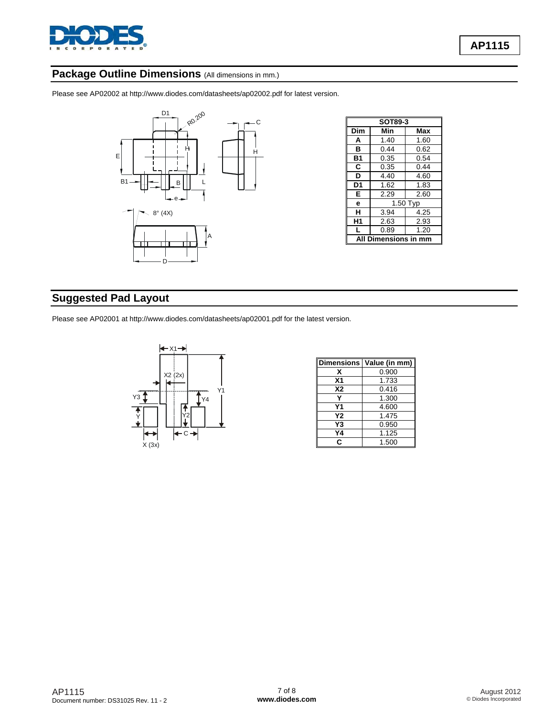

# Package Outline Dimensions (All dimensions in mm.)

Please see AP02002 at [http://www.diodes.com/datasheets/ap02002.pdf fo](http://www.diodes.com/datasheets/ap02002.pdf)r latest version.



| SOT89-3 |                  |          |  |  |
|---------|------------------|----------|--|--|
| Dim     | Min              | Max      |  |  |
| A       | 1.40             | 1.60     |  |  |
| в       | 0.44             | 0.62     |  |  |
| B1      | 0.35             | 0.54     |  |  |
| C       | 0.35             | 0.44     |  |  |
| D       | 4.40             | 4.60     |  |  |
| D1      | 1.62             | 1.83     |  |  |
| Е       | 2.29<br>2.60     |          |  |  |
| е       |                  | 1.50 Typ |  |  |
| н       | 3.94<br>4.25     |          |  |  |
| Η1      | 2.63             | 2.93     |  |  |
|         | 0.89             | 1.20     |  |  |
|         | Dimensions in mm |          |  |  |

# **Suggested Pad Layout**

Please see AP02001 at [http://www.diodes.com/datasheets/ap02001.pdf fo](http://www.diodes.com/datasheets/ap02001.pdf)r the latest version.



|                | Dimensions   Value (in mm) |
|----------------|----------------------------|
| x              | 0.900                      |
| X <sub>1</sub> | 1.733                      |
| <b>X2</b>      | 0.416                      |
|                | 1.300                      |
| Υ1             | 4.600                      |
| Υ2             | 1.475                      |
| Y3             | 0.950                      |
| Y4             | 1.125                      |
| C              | 1.500                      |